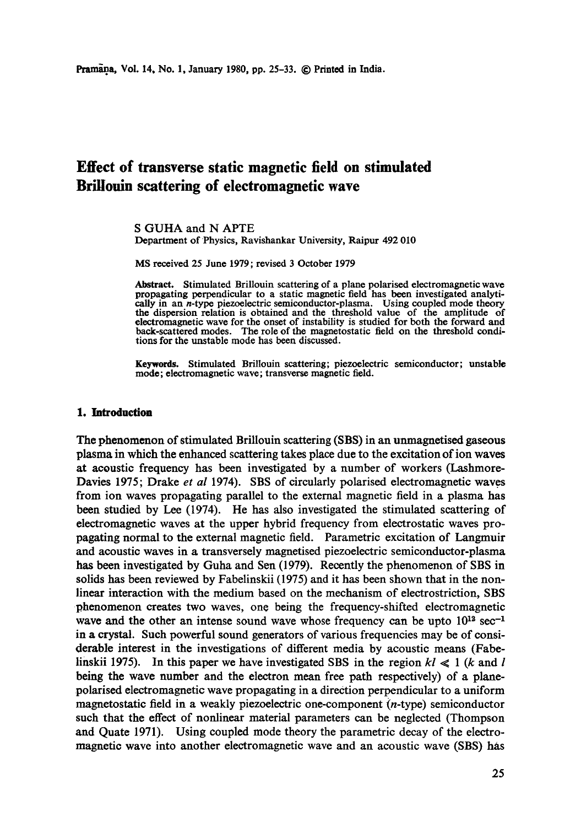# **Effect of transverse static magnetic field on stimulated Brillouin scattering of electromagnetic wave**

S GUHA and N APTE Department of Physics, Ravishankar University, Raipur 492 010

MS received 25 June 1979; revised 3 October 1979

Abstract. Stimulated Brillouin scattering of a plane polarised electromagnetic wave **propagating** perpendicular to a static magnetic field has been investigated analytically in an *n*-type piezoelectric semiconductor-plasma. Using coupled mode theory the dispersion relation is obtained and the threshold value of the amplitude of electromagnetic wave for the onset of instability is studied for both the forward and back-scattered modes. The role of the magnetostatic field on the threshold conditions for the unstable mode has been discussed.

Keywords. Stimulated Brillouin scattering; piezoelectric semiconductor; unstable mode; electromagnetic wave; transverse magnetic field.

#### **1. Introduction**

The phenomenon of stimulated Brillouin scattering (SBS) in an unmagnetisod gaseous plasma in which the enhanced scattering takes place due to the excitation of ion waves at acoustic frequency has been investigated by a number of workers (Lashmore-Davies 1975; Drake *et al* 1974). SBS of circularly polarised electromagnetic waves from ion waves propagating parallel to the external magnetic field in a plasma has been studied by Lee (1974). He has also investigated the stimulated scattering of electromagnetic waves at the upper hybrid frequency from electrostatic waves propagating normal to the external magnetic field. Parametric excitation of Langmuir and acoustic waves in a transversely magnetised piezoelectric semiconductor-plasma has been investigated by Guha and Sen (1979). Recently the phenomenon of SBS in solids has been reviewed by Fabelinskii (1975) and it has been shown that in the nonlinear interaction with the medium based on the mechanism of electrostriction, SBS phenomenon creates two waves, one being the frequency-shifted electromagnetic wave and the other an intense sound wave whose frequency can be upto  $10^{12}$  sec<sup>-1</sup> in a crystal. Such powerful sound generators of various frequencies may be of considerable interest in the investigations of different media by acoustic means (Fabelinskii 1975). In this paper we have investigated SBS in the region  $kl \ll 1$  (k and l **being** the wave number and the electron mean free path respectively) of a planepolarised electromagnetic wave propagating in a direction perpendicular to a uniform magnetostatic field in a weakly piezoelectric one-component (n-type) semiconductor such that the effect of nonlinear material parameters can be neglected (Thompson and Quate 1971). Using coupled mode theory the parametric decay of the electromagnetic wave into another electromagnetic wave and an acoustic wave (SBS) has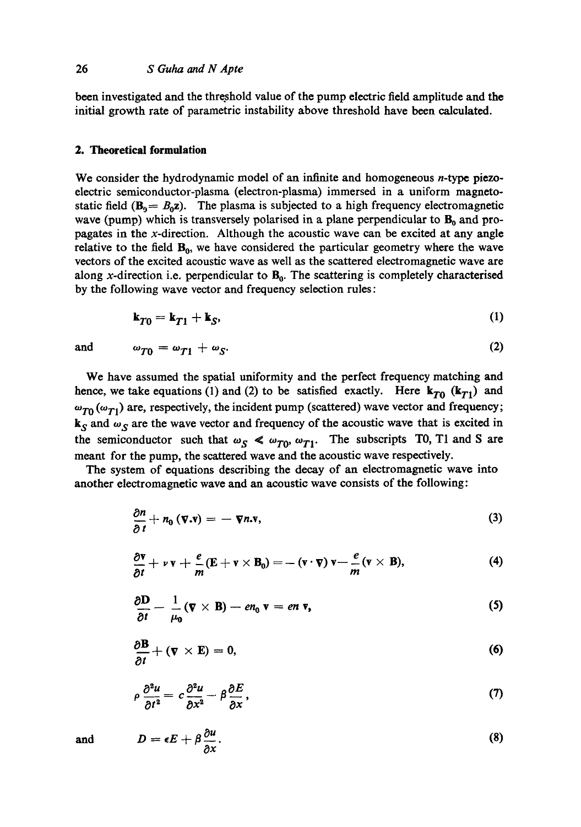## 26 *S Guha and N Apte*

been investigated and the threshold value of the pump electric field amplitude and the initial growth rate of parametric instability above threshold have been calculated.

# **2. Theoretical formulation**

We consider the hydrodynamic model of an infinite and homogeneous *n*-type piezoelectric semiconductor-plasma (electron-plasma) immersed in a uniform magnetostatic field  $(B_0 = B_0 z)$ . The plasma is subjected to a high frequency electromagnetic wave (pump) which is transversely polarised in a plane perpendicular to  $B_0$  and propagates in the x-direction. Although the acoustic wave can be excited at any angle relative to the field  $B_0$ , we have considered the particular geometry where the wave vectors of the excited acoustic wave as well as the scattered electromagnetic wave are along x-direction i.e. perpendicular to  $B_0$ . The scattering is completely characterised by the following wave vector and frequency selection rules :

$$
\mathbf{k}_{T0} = \mathbf{k}_{T1} + \mathbf{k}_S, \tag{1}
$$

and 
$$
\omega_{T0} = \omega_{T1} + \omega_S. \tag{2}
$$

We have assumed the spatial uniformity and the perfect frequency matching and hence, we take equations (1) and (2) to be satisfied exactly. Here  $k_{T0}$  ( $k_{T1}$ ) and  $\omega_{T0}(\omega_{T1})$  are, respectively, the incident pump (scattered) wave vector and frequency;  $k_S$  and  $\omega_S$  are the wave vector and frequency of the acoustic wave that is excited in the semiconductor such that  $\omega_S \ll \omega_{T0}$ ,  $\omega_{T1}$ . The subscripts T0, T1 and S are meant for the pump, the scattered wave and the acoustic wave respectively.

The system of equations describing the decay of an electromagnetic wave into another electromagnetic wave and an acoustic wave consists of the following:

$$
\frac{\partial n}{\partial t} + n_0 \left( \mathbf{v} . \mathbf{v} \right) = - \nabla n . \mathbf{v}, \tag{3}
$$

$$
\frac{\partial \mathbf{v}}{\partial t} + \nu \mathbf{v} + \frac{e}{m} (\mathbf{E} + \mathbf{v} \times \mathbf{B}_0) = -(\mathbf{v} \cdot \mathbf{v}) \mathbf{v} - \frac{e}{m} (\mathbf{v} \times \mathbf{B}), \tag{4}
$$

$$
\frac{\partial \mathbf{D}}{\partial t} - \frac{1}{\mu_0} (\mathbf{\nabla} \times \mathbf{B}) - en_0 \mathbf{v} = en \mathbf{v}, \qquad (5)
$$

$$
\frac{\partial \mathbf{B}}{\partial t} + (\mathbf{v} \times \mathbf{E}) = 0, \tag{6}
$$

$$
\rho \frac{\partial^2 u}{\partial t^2} = c \frac{\partial^2 u}{\partial x^2} - \beta \frac{\partial E}{\partial x},\tag{7}
$$

and 
$$
D = \epsilon E + \beta \frac{\partial u}{\partial x}.
$$
 (8)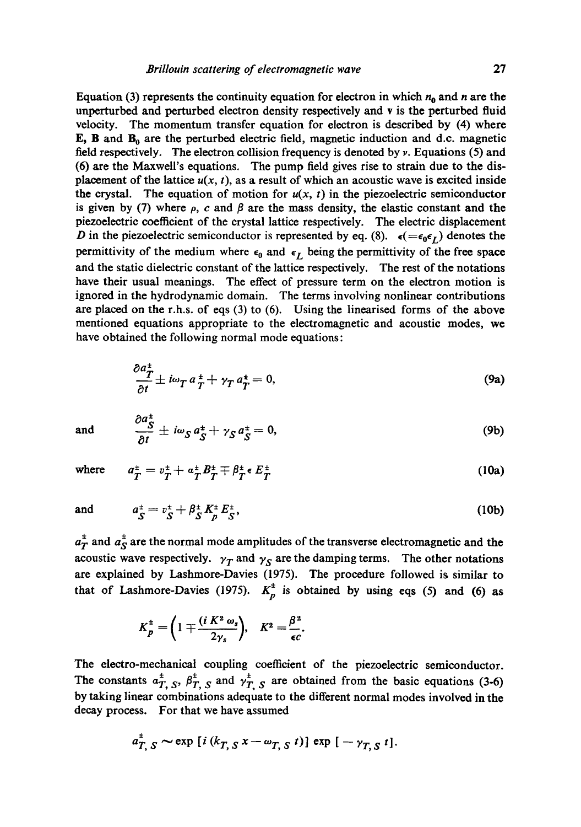Equation (3) represents the continuity equation for electron in which  $n_0$  and n are the unperturbed and perturbed electron density respectively and v is the perturbed fluid velocity. The momentum transfer equation for electron is described by (4) where E, B and  $B_0$  are the perturbed electric field, magnetic induction and d.c. magnetic field respectively. The electron collision frequency is denoted by  $\nu$ . Equations (5) and (6) are the Maxwell's equations. The pump field gives rise to strain due to the displacement of the lattice  $u(x, t)$ , as a result of which an acoustic wave is excited inside the crystal. The equation of motion for  $u(x, t)$  in the piezoelectric semiconductor is given by (7) where  $\rho$ , c and  $\beta$  are the mass density, the elastic constant and the piezoelectric coefficient of the crystal lattice respectively. The electric displacement D in the piezoelectric semiconductor is represented by eq. (8).  $\epsilon (= \epsilon_0 \epsilon_L)$  denotes the permittivity of the medium where  $\epsilon_0$  and  $\epsilon_L$  being the permittivity of the free space and the static dielectric constant of the lattice respectively. The rest of the notations have their usual meanings. The effect of pressure term on the electron motion is ignored in the hydrodynamic domain. The terms involving nonlinear contributions are placed on the r.h.s, of eqs (3) to (6). Using the linearised forms of the above mentioned equations appropriate to the electromagnetic and acoustic modes, we have obtained the following normal mode equations:

$$
\frac{\partial a_T^*}{\partial t} \pm i\omega_T a_T^* + \gamma_T a_T^* = 0, \qquad (9a)
$$

and 
$$
\frac{\partial a_S^{\pm}}{\partial t} \pm i\omega_S a_S^{\pm} + \gamma_S a_S^{\pm} = 0, \qquad (9b)
$$

where  $a_{\textbf{T}}^{\pm} = v_{\textbf{T}}^{\pm} + a_{\textbf{T}}^{\pm} B_{\textbf{T}}^{\pm} \mp \beta_{\textbf{T}}^{\pm} \epsilon E_{\textbf{T}}^{\pm}$  (10a)

and 
$$
a_S^{\pm} = v_S^{\pm} + \beta_S^{\pm} K_P^{\pm} E_S^{\pm}
$$
, (10b)

 $a_T^{\pm}$  and  $a_S^{\pm}$  are the normal mode amplitudes of the transverse electromagnetic and the acoustic wave respectively.  $\gamma_T$  and  $\gamma_S$  are the damping terms. The other notations are explained by Lashmore-Davies (1975). The procedure followed is similar to that of Lashmore-Davies (1975).  $K_p^{\pm}$  is obtained by using eqs (5) and (6) as

$$
K_P^{\pm} = \left(1 \mp \frac{(i K^2 \omega_s}{2\gamma_s}\right), \quad K^2 = \frac{\beta^2}{\epsilon c}.
$$

The electro-mechanical coupling coefficient of the piezoelectric semiconductor. The constants  $a_{T, S}^{\pm}$ ,  $\beta_{T, S}^{\pm}$  and  $\gamma_{T, S}^{\pm}$  are obtained from the basic equations (3-6) by taking linear combinations adequate to the different normal modes involved in the decay process. For that we have assumed

$$
a_{T, S}^{\pm} \sim \exp\left[i\left(k_{T, S} x - \omega_{T, S} t\right)\right] \exp\left[-\gamma_{T, S} t\right].
$$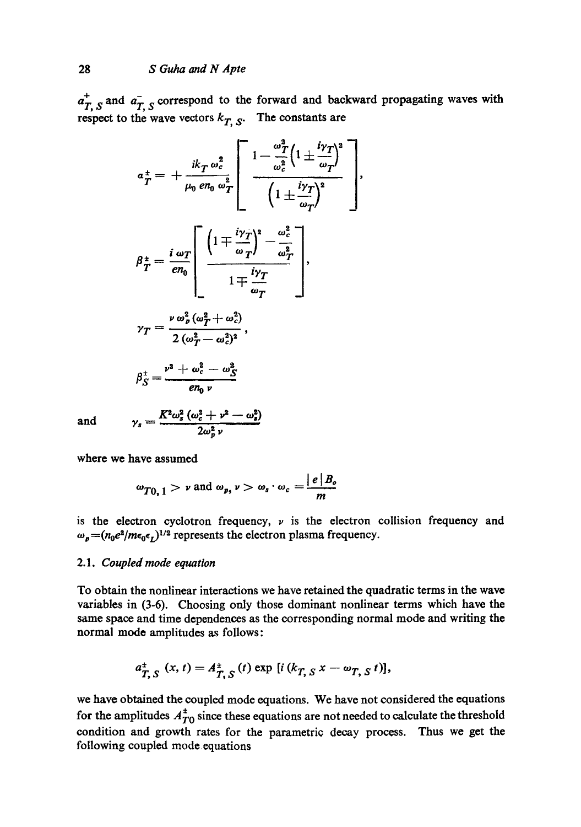$a_{T, S}^{+}$  and  $a_{T, S}^{-}$  correspond to the forward and backward propagating waves with respect to the wave vectors  $k_{T, S}$ . The constants are

$$
a_{T}^{\pm} = + \frac{ik_{T}\omega_{c}^{2}}{\mu_{0} e n_{0} \omega_{T}^{2}} \left[ \frac{1 - \frac{\omega_{T}^{2}}{\omega_{c}^{2}} \left(1 \pm \frac{i\gamma_{T}}{\omega_{T}}\right)^{2}}{\left(1 \pm \frac{i\gamma_{T}}{\omega_{T}}\right)^{2}} \right],
$$
\n
$$
\beta_{T}^{\pm} = \frac{i \omega_{T}}{e n_{0}} \left[ \frac{\left(1 \mp \frac{i\gamma_{T}}{\omega_{T}}\right)^{2} - \frac{\omega_{c}^{2}}{\omega_{T}^{2}}}{1 \mp \frac{i\gamma_{T}}{\omega_{T}}}\right],
$$
\n
$$
\gamma_{T} = \frac{\nu \omega_{p}^{2} (\omega_{T}^{2} + \omega_{c}^{2})}{2 (\omega_{T}^{2} - \omega_{c}^{2})^{2}},
$$
\n
$$
\beta_{S}^{\pm} = \frac{\nu^{2} + \omega_{c}^{2} - \omega_{S}^{2}}{e n_{0} \nu}
$$

and  $\gamma_s = \frac{K^2 \omega_s^2 (\omega_c^2 + \nu^2 - \omega_s^2)}{2 \omega^2 v}$ 

where we have assumed

$$
\omega_{T0, 1} > \nu
$$
 and  $\omega_p, \nu > \omega_s \cdot \omega_c = \frac{|e| B_o}{m}$ 

is the electron cyclotron frequency,  $\nu$  is the electron collision frequency and  $\omega_p = (n_0 e^2/m \epsilon_0 \epsilon_I)^{1/2}$  represents the electron plasma frequency.

# 2.1. *Coupled mode equation*

To obtain the nonlinear interactions we have retained the quadratic terms in the wave variables in (3-6). Choosing only those dominant nonlinear terms which have the same space and time dependences as the corresponding normal mode and writing the normal mode amplitudes as follows:

$$
a_{T, S}^{+}(x, t) = A_{T, S}^{+}(t) \exp [i (k_{T, S} x - \omega_{T, S} t)],
$$

we have obtained the coupled mode equations. We have not considered the equations for the amplitudes  $A_{T0}^{\pm}$  since these equations are not needed to calculate the threshold condition and growth rates for the parametric decay process. Thus we get the following coupled mode equations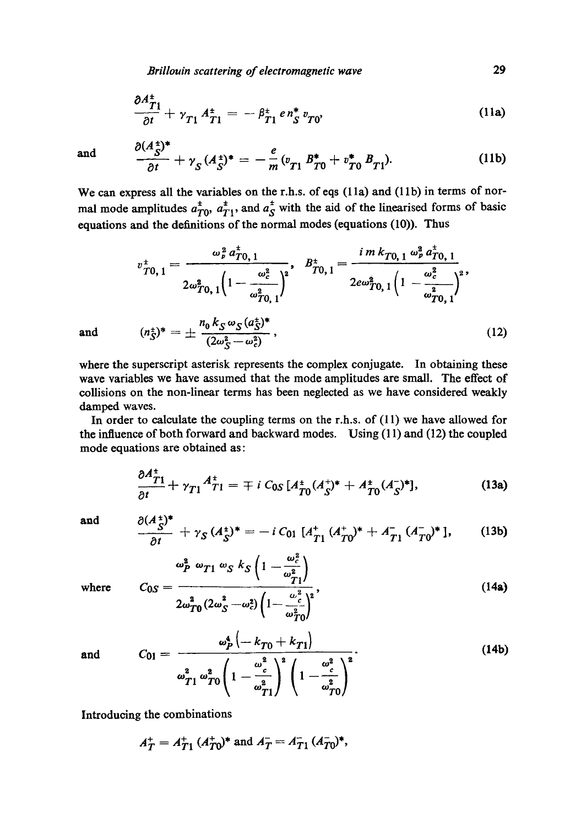*Brillouin scattering of electromagnetic wave* 29

$$
\frac{\partial A_{T1}^{\pm}}{\partial t} + \gamma_{T1} A_{T1}^{\pm} = -\beta_{T1}^{\pm} e n_S^{\pm} v_{T0}, \qquad (11a)
$$

and 
$$
\frac{\partial (A_{S}^{+})}{\partial t} + \gamma_{S} (A_{S}^{+})^* = -\frac{e}{m} (v_{T1} B_{T0}^* + v_{T0}^* B_{T1}). \qquad (11b)
$$

We can express all the variables on the r.h.s. of eqs  $(11a)$  and  $(11b)$  in terms of normal mode amplitudes  $a_{T0}^{\pm}$ ,  $a_{T1}^{\pm}$ , and  $a_{S}^{\pm}$  with the aid of the linearised forms of basic equations and the definitions of the normal modes (equations (10)). Thus

$$
v_{T0,1}^{\pm} = \frac{\omega_p^2 a_{T0,1}^{\pm}}{2\omega_{T0,1}^2 \left(1 - \frac{\omega_c^2}{\omega_{T0,1}^2}\right)^2}, \quad B_{T0,1}^{\pm} = \frac{i m k_{T0,1} \omega_p^2 a_{T0,1}^{\pm}}{2e\omega_{T0,1}^2 \left(1 - \frac{\omega_c^2}{\omega_{T0,1}^2}\right)^2},
$$
  
and 
$$
(n_S^{\pm})^* = \pm \frac{n_0 k_S \omega_S (a_S^{\pm})^*}{(2\omega_S^2 - \omega_c^2)},
$$
(12)

where the superscript asterisk represents the complex conjugate. In obtaining these wave variables we have assumed that the mode amplitudes are small. The effect of collisions on the non-linear terms has been neglected as we have considered weakly damped waves.

In order to calculate the coupling terms on the r.h.s, of (11) we have allowed for the influence of both forward and backward modes. Using (11) and (12) the coupled mode equations are obtained as:

$$
\frac{\partial A_{T1}^+}{\partial t} + \gamma_{T1} A_{T1}^+ = \mp i C_{0S} \left[ A_{T0}^+ (A_S^+)^* + A_{T0}^+ (A_S^-)^* \right], \tag{13a}
$$

and  $\partial (A^{\pm}_{\alpha})^*$ 

$$
\frac{d^{2}S'}{\partial t} + \gamma_{S} (A_{S}^{+})^{*} = -i C_{01} [A_{T1}^{+} (A_{T0}^{+})^{*} + A_{T1}^{-} (A_{T0}^{-})^{*}], \qquad (13b)
$$

where  $C_{0.5}$ 

$$
s = \frac{\omega_P^2 \omega_{T1} \omega_S k_S \left(1 - \frac{\omega_c^2}{\omega_{T1}^2}\right)}{2\omega_{T0}^2 (2\omega_S^2 - \omega_c^2) \left(1 - \frac{\omega_c^2}{\omega_{T0}^2}\right)^2},
$$
(14a)

and 
$$
C_{01} = \frac{\omega_P^4 \left(-k_{T0} + k_{T1}\right)}{\omega_{T1}^2 \omega_{T0}^2 \left(1 - \frac{\omega_c^2}{\omega_{T1}^2}\right)^2 \left(1 - \frac{\omega_c^2}{\omega_{T0}^2}\right)^2}.
$$
 (14b)

Introducing the combinations

$$
A_T^+ = A_{T1}^+ (A_{T0}^+)^*
$$
 and 
$$
A_T^- = A_{T1}^- (A_{T0}^-)^*
$$
,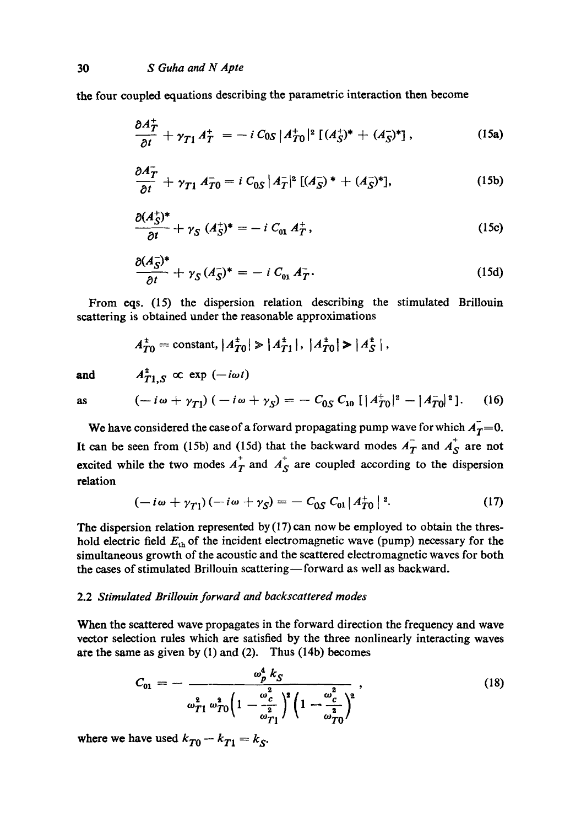the four coupled equations describing the parametric interaction then become

$$
\frac{\partial A_T^+}{\partial t} + \gamma_{T1} A_T^+ = -i C_{0S} |A_{T0}^+|^2 [(A_S^+)^* + (A_S^-)^*], \qquad (15a)
$$

$$
\frac{\partial \bar{A}_T^*}{\partial t} + \gamma_{T1} \bar{A}_{T0}^* = i C_{0S} |A_T^*|^2 \left[ (A_S^*)^* + (A_S^*)^* \right], \tag{15b}
$$

$$
\frac{\partial (A_S^+)^*}{\partial t} + \gamma_S \ (A_S^+)^* = -i \ C_{01} \ A_T^+, \tag{15c}
$$

$$
\frac{\partial (A_{S}^{-})^{*}}{\partial t}+\gamma_{S}(A_{S}^{-})^{*}=-iC_{01}A_{T}^{-}.
$$
\n(15d)

From eqs. (15) the dispersion relation describing the stimulated Brillouin scattering is obtained under the reasonable approximations

$$
A_{T0}^{\pm} = \text{constant}, |A_{T0}^{\pm}| \ge |A_{T1}^{\pm}|, |A_{T0}^{\pm}| \ge |A_{S}^{\pm}|,
$$
  

$$
A_{\pm}^{\pm} = \infty \text{ exp } (-i\omega t)
$$

and

$$
A_{T1,S}^{\pm} \propto \exp(-i\omega t)
$$
  

$$
(-i\omega + \gamma_{T1})(-i\omega + \gamma_{S}) = -C_{0S} C_{10} [|A_{T0}^{+}|^{2} - |A_{T0}^{-}|^{2}].
$$
 (16)

as

We have considered the case of a forward propagating pump wave for which  $A_T=0$ . It can be seen from (15b) and (15d) that the backward modes  $\overrightarrow{A}_T$  and  $\overrightarrow{A}_S$  are not excited while the two modes  $A_T^+$  and  $A_S^+$  are coupled according to the dispersion relation

$$
(-i\omega + \gamma_{T1})(-i\omega + \gamma_S) = -C_{0S} C_{01} |A_{T0}^+|^2. \qquad (17)
$$

The dispersion relation represented by  $(17)$  can now be employed to obtain the threshold electric field  $E_{\text{th}}$  of the incident electromagnetic wave (pump) necessary for the simultaneous growth of the acoustic and the scattered electromagnetic waves for both the cases of stimulated Brillouin scattering-forward as well as backward.

#### 2.2 *Stimulated Brillouin forward and backscattered modes*

When the scattered wave propagates in the forward direction the frequency and wave vector selection rules which are satisfied by the three nonlinearly interacting waves ate the same as given by (I) and (2). Thus (14b) becomes

$$
C_{01} = -\frac{\omega_p^4 k_S}{\omega_{T1}^2 \omega_{T0}^2 \left(1 - \frac{\omega_c^2}{\omega_{T1}^2}\right)^2 \left(1 - \frac{\omega_c^2}{\omega_{T0}^2}\right)^2},\tag{18}
$$

where we have used  $k_{T0} - k_{T1} = k_S$ .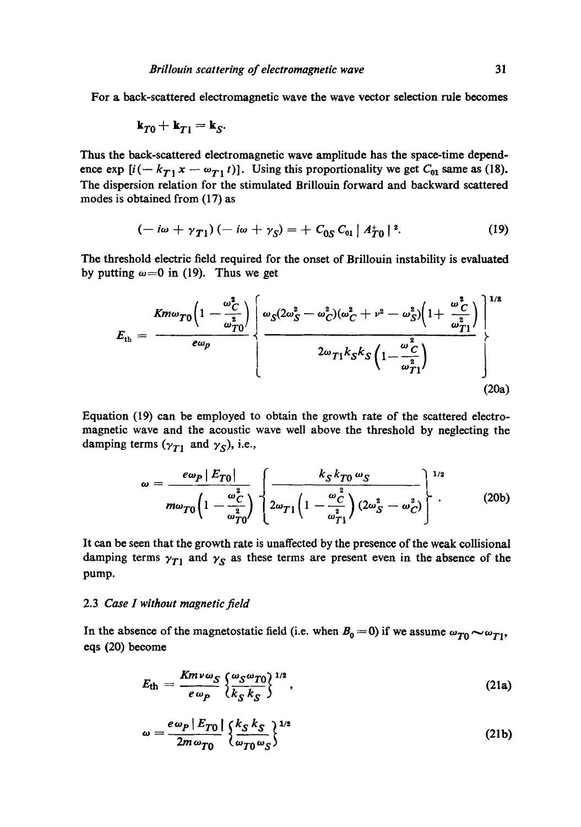For a back-scattered electromagnetic wave the wave vector selection rule becomes

$$
\mathbf{k}_{T0}+\mathbf{k}_{T1}=\mathbf{k}_{S}.
$$

Thus the back-scattered electromagnetic wave amplitude has the space-time dependence exp  $[i(-k_{T1}x - \omega_{T1}t)]$ . Using this proportionality we get  $C_{01}$  same as (18). The dispersion relation for the stimulated Brillouin forward and backward scattered modes is obtained from (17) as

$$
(-i\omega + \gamma_{T1}) (-i\omega + \gamma_S) = + C_{0S} C_{01} |A_{T0}^+|^2. \qquad (19)
$$

The threshold electric field required for the onset of Brillouin instability is evaluated by putting  $\omega = 0$  in (19). Thus we get

$$
E_{\rm th} = \frac{Km\omega_{T0}\left(1-\frac{\omega_{C}^{2}}{\omega_{T0}^{2}}\right)}{e\omega_{p}}\left\{\frac{\omega_{S}(2\omega_{S}^{2}-\omega_{C}^{2})(\omega_{C}^{2}+\nu^{2}-\omega_{S}^{2})\left(1+\frac{\omega_{C}^{2}}{\omega_{T1}^{2}}\right)}{2\omega_{T1}k_{S}k_{S}\left(1-\frac{\omega_{C}^{2}}{\omega_{T1}^{2}}\right)}\right\}^{1/2}\right\}
$$
(20a)

Equation (19) can be employed to obtain the growth rate of the scattered electromagnetic wave and the acoustic wave well above the threshold by neglecting the damping terms ( $\gamma_{T1}$  and  $\gamma_S$ ), i.e.,

$$
\omega = \frac{e\omega_P |E_{T0}|}{m\omega_{T0}\left(1 - \frac{\omega_C^2}{\omega_{T0}^2}\right)} \left\{\frac{k_S k_{T0} \omega_S}{2\omega_{T1}\left(1 - \frac{\omega_C^2}{\omega_{T1}^2}\right)(2\omega_S^2 - \omega_C^2)}\right\}^{1/2} \tag{20b}
$$

It can be seen that the growth rate is unaffected by the presence of the weak collisional damping terms  $\gamma_{T1}$  and  $\gamma_S$  as these terms are present even in the absence of the pump.

#### 2.3 *Case I without magnetic field*

In the absence of the magnetostatic field (i.e. when  $B_0 = 0$ ) if we assume  $\omega_{T0} \sim \omega_{T1}$ , eqs (20) become

$$
E_{\rm th} = \frac{K m v \omega_S}{e \omega_P} \left\{ \frac{\omega_S \omega_{T0}}{k_S k_S} \right\}^{1/2}, \qquad (21a)
$$

$$
\omega = \frac{e\omega_P |E_{T0}|}{2m\omega_{T0}} \left\{ \frac{k_S k_S}{\omega_{T0} \omega_S} \right\}^{1/2}
$$
 (21b)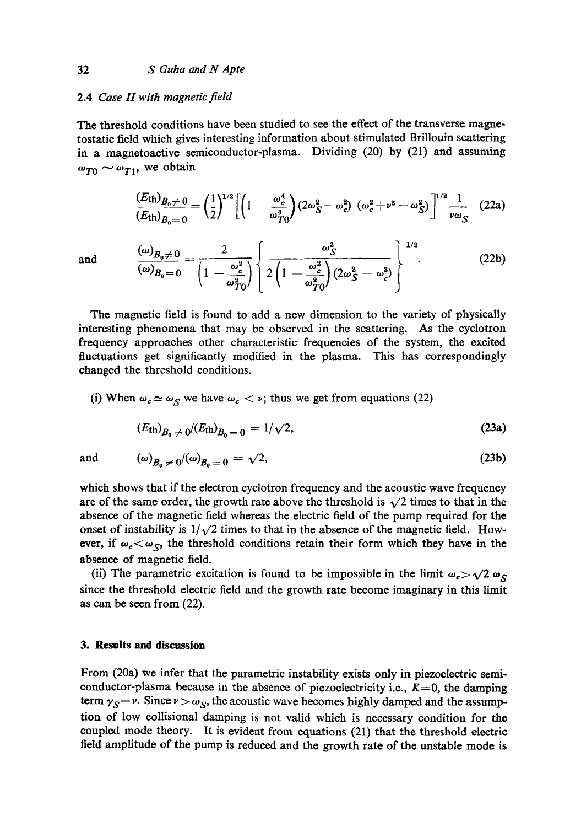# 2.4 *Case II with magnetic field*

The threshold conditions have been studied to see the effect of the transverse magnetostatic field which gives interesting information about stimulated Brillouin scattering in a magnetoactive semiconductor-plasma. Dividing (20) by (21) and assuming  $\omega_{T0} \sim \omega_{T1}$ , we obtain

$$
\frac{(E_{\text{th}})_{B_0 \neq 0}}{(E_{\text{th}})_{B_0 = 0}} = \left(\frac{1}{2}\right)^{1/2} \left[ \left(1 - \frac{\omega_c^4}{\omega_{T0}^4}\right) \left(2\omega_S^2 - \omega_c^2\right) \left(\omega_c^2 + \nu^2 - \omega_S^2\right) \right]^{1/2} \frac{1}{\nu \omega_S} \quad (22a)
$$

and 
$$
\frac{(\omega)_{B_0 \neq 0}}{(\omega)_{B_0 = 0}} = \frac{2}{\left(1 - \frac{\omega_c^2}{\omega_{T0}^2}\right)} \left\{ 2 \left(1 - \frac{\omega_c^2}{\omega_{T0}^2}\right) (2\omega_S^2 - \omega_c^2) \right\}^{1/2}.
$$
 (22b)

The magnetic field is found to add a new dimension to the variety of physically interesting phenomena that may be observed in the scattering. As the cyclotron frequency approaches other characteristic frequencies of the system, the excited fluctuations get significantly modified in the plasma. This has correspondingly changed the threshold conditions.

(i) When  $\omega_c \simeq \omega_S$  we have  $\omega_c < \nu$ ; thus we get from equations (22)

$$
(E_{\rm th})_{B_0 \, \neq \, 0} / (E_{\rm th})_{B_0 \, = \, 0} = 1 / \sqrt{2},\tag{23a}
$$

and 
$$
(\omega)_{B_0 \neq 0}/(\omega)_{B_0 = 0} = \sqrt{2},
$$
 (23b)

which shows that if the electron cyclotron frequency and the acoustic wave frequency are of the same order, the growth rate above the threshold is  $\sqrt{2}$  times to that in the absence of the magnetic field whereas the electric field of the pump required for the onset of instability is  $1/\sqrt{2}$  times to that in the absence of the magnetic field. However, if  $\omega_c < \omega_s$ , the threshold conditions retain their form which they have in the absence of magnetic field.

(ii) The parametric excitation is found to be impossible in the limit  $\omega_c > \sqrt{2} \omega_s$ since the threshold electric field and the growth rate become imaginary in this limit as can be seen from (22).

# **3. Results and discussion**

From (20a) we infer that the parametric instability exists only in piezoelectric semiconductor-plasma because in the absence of piezoelectricity i.e.,  $K=0$ , the damping term  $\gamma_S = \nu$ . Since  $\nu > \omega_S$ , the acoustic wave becomes highly damped and the assumption of low collisional damping is not valid which is necessary condition for the coupled mode theory. It is evident from equations (21) that the threshold electric field amplitude of the pump is reduced and the growth rate of the unstable mode **is**